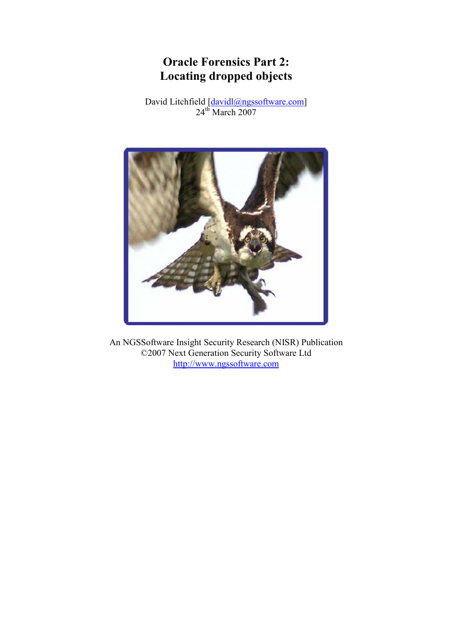# Oracle Forensics Part 2: Locating dropped objects

David Litchfield [davidl@ngssoftware.com]  $24<sup>th</sup>$  March 2007



An NGSSoftware Insight Security Research (NISR) Publication ©2007 Next Generation Security Software Ltd http://www.ngssoftware.com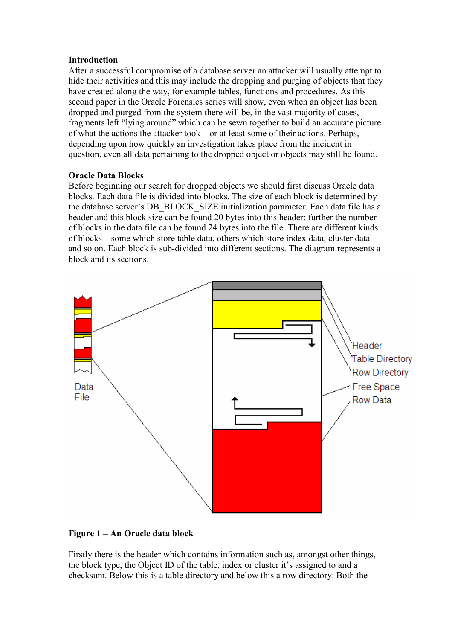## Introduction

After a successful compromise of a database server an attacker will usually attempt to hide their activities and this may include the dropping and purging of objects that they have created along the way, for example tables, functions and procedures. As this second paper in the Oracle Forensics series will show, even when an object has been dropped and purged from the system there will be, in the vast majority of cases, fragments left "lying around" which can be sewn together to build an accurate picture of what the actions the attacker took – or at least some of their actions. Perhaps, depending upon how quickly an investigation takes place from the incident in question, even all data pertaining to the dropped object or objects may still be found.

# Oracle Data Blocks

Before beginning our search for dropped objects we should first discuss Oracle data blocks. Each data file is divided into blocks. The size of each block is determined by the database server's DB\_BLOCK\_SIZE initialization parameter. Each data file has a header and this block size can be found 20 bytes into this header; further the number of blocks in the data file can be found 24 bytes into the file. There are different kinds of blocks – some which store table data, others which store index data, cluster data and so on. Each block is sub-divided into different sections. The diagram represents a block and its sections.



# Figure 1 – An Oracle data block

Firstly there is the header which contains information such as, amongst other things, the block type, the Object ID of the table, index or cluster it's assigned to and a checksum. Below this is a table directory and below this a row directory. Both the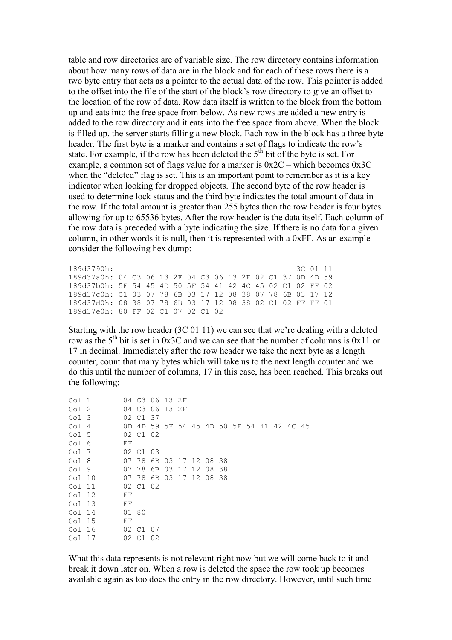table and row directories are of variable size. The row directory contains information about how many rows of data are in the block and for each of these rows there is a two byte entry that acts as a pointer to the actual data of the row. This pointer is added to the offset into the file of the start of the block's row directory to give an offset to the location of the row of data. Row data itself is written to the block from the bottom up and eats into the free space from below. As new rows are added a new entry is added to the row directory and it eats into the free space from above. When the block is filled up, the server starts filling a new block. Each row in the block has a three byte header. The first byte is a marker and contains a set of flags to indicate the row's state. For example, if the row has been deleted the  $5<sup>th</sup>$  bit of the byte is set. For example, a common set of flags value for a marker is  $0x2C$  – which becomes  $0x3C$ when the "deleted" flag is set. This is an important point to remember as it is a key indicator when looking for dropped objects. The second byte of the row header is used to determine lock status and the third byte indicates the total amount of data in the row. If the total amount is greater than 255 bytes then the row header is four bytes allowing for up to 65536 bytes. After the row header is the data itself. Each column of the row data is preceded with a byte indicating the size. If there is no data for a given column, in other words it is null, then it is represented with a 0xFF. As an example consider the following hex dump:

```
189d3790h: 3C 01 11 
189d37a0h: 04 C3 06 13 2F 04 C3 06 13 2F 02 C1 37 0D 4D 59 
189d37b0h: 5F 54 45 4D 50 5F 54 41 42 4C 45 02 C1 02 FF 02 
189d37c0h: C1 03 07 78 6B 03 17 12 08 38 07 78 6B 03 17 12 
189d37d0h: 08 38 07 78 6B 03 17 12 08 38 02 C1 02 FF FF 01 
189d37e0h: 80 FF 02 C1 07 02 C1 02
```
Starting with the row header (3C 01 11) we can see that we're dealing with a deleted row as the  $5<sup>th</sup>$  bit is set in 0x3C and we can see that the number of columns is 0x11 or 17 in decimal. Immediately after the row header we take the next byte as a length counter, count that many bytes which will take us to the next length counter and we do this until the number of columns, 17 in this case, has been reached. This breaks out the following:

| Col 1  |       | 04 C3 06 13 2F          |  |                   |  |  |  |                                           |  |
|--------|-------|-------------------------|--|-------------------|--|--|--|-------------------------------------------|--|
| Col 2  |       | 04 C3 06 13 2F          |  |                   |  |  |  |                                           |  |
| Col 3  |       | 02 C1 37                |  |                   |  |  |  |                                           |  |
| Col 4  |       |                         |  |                   |  |  |  | OD 4D 59 5F 54 45 4D 50 5F 54 41 42 4C 45 |  |
| Col 5  |       | 02 C1 02                |  |                   |  |  |  |                                           |  |
| Col 6  | FF    |                         |  |                   |  |  |  |                                           |  |
| Col 7  |       | 02 C1 03                |  |                   |  |  |  |                                           |  |
| Col 8  |       | 07 78                   |  | 6B 03 17 12 08 38 |  |  |  |                                           |  |
| Col 9  | 07 78 |                         |  | 6B 03 17 12 08 38 |  |  |  |                                           |  |
| Col 10 |       | 07 78 6B 03 17 12 08 38 |  |                   |  |  |  |                                           |  |
| Col 11 |       | 02 C1 02                |  |                   |  |  |  |                                           |  |
| Col 12 | FF    |                         |  |                   |  |  |  |                                           |  |
| Col 13 | FF    |                         |  |                   |  |  |  |                                           |  |
| Col 14 | 01 80 |                         |  |                   |  |  |  |                                           |  |
| Col 15 | FF    |                         |  |                   |  |  |  |                                           |  |
| Col 16 |       | 02 C1 07                |  |                   |  |  |  |                                           |  |
| Col 17 |       | 02 C1 02                |  |                   |  |  |  |                                           |  |

What this data represents is not relevant right now but we will come back to it and break it down later on. When a row is deleted the space the row took up becomes available again as too does the entry in the row directory. However, until such time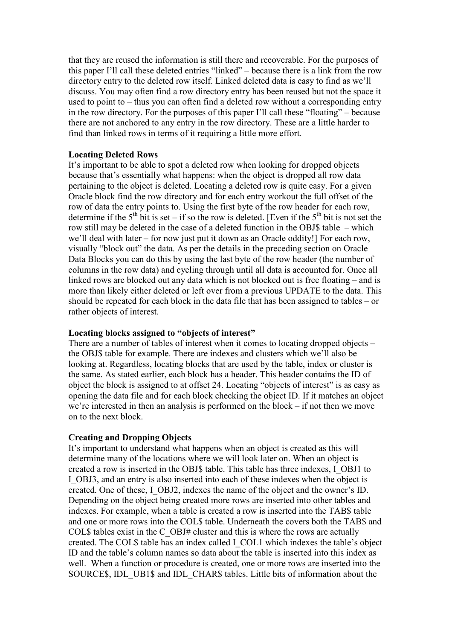that they are reused the information is still there and recoverable. For the purposes of this paper I'll call these deleted entries "linked" – because there is a link from the row directory entry to the deleted row itself. Linked deleted data is easy to find as we'll discuss. You may often find a row directory entry has been reused but not the space it used to point to – thus you can often find a deleted row without a corresponding entry in the row directory. For the purposes of this paper I'll call these "floating" – because there are not anchored to any entry in the row directory. These are a little harder to find than linked rows in terms of it requiring a little more effort.

## Locating Deleted Rows

It's important to be able to spot a deleted row when looking for dropped objects because that's essentially what happens: when the object is dropped all row data pertaining to the object is deleted. Locating a deleted row is quite easy. For a given Oracle block find the row directory and for each entry workout the full offset of the row of data the entry points to. Using the first byte of the row header for each row, determine if the  $5<sup>th</sup>$  bit is set – if so the row is deleted. [Even if the  $5<sup>th</sup>$  bit is not set the row still may be deleted in the case of a deleted function in the OBJ\$ table – which we'll deal with later – for now just put it down as an Oracle oddity! For each row, visually "block out" the data. As per the details in the preceding section on Oracle Data Blocks you can do this by using the last byte of the row header (the number of columns in the row data) and cycling through until all data is accounted for. Once all linked rows are blocked out any data which is not blocked out is free floating – and is more than likely either deleted or left over from a previous UPDATE to the data. This should be repeated for each block in the data file that has been assigned to tables – or rather objects of interest.

#### Locating blocks assigned to "objects of interest"

There are a number of tables of interest when it comes to locating dropped objects – the OBJ\$ table for example. There are indexes and clusters which we'll also be looking at. Regardless, locating blocks that are used by the table, index or cluster is the same. As stated earlier, each block has a header. This header contains the ID of object the block is assigned to at offset 24. Locating "objects of interest" is as easy as opening the data file and for each block checking the object ID. If it matches an object we're interested in then an analysis is performed on the block – if not then we move on to the next block.

## Creating and Dropping Objects

It's important to understand what happens when an object is created as this will determine many of the locations where we will look later on. When an object is created a row is inserted in the OBJ\$ table. This table has three indexes, I\_OBJ1 to I\_OBJ3, and an entry is also inserted into each of these indexes when the object is created. One of these, I\_OBJ2, indexes the name of the object and the owner's ID. Depending on the object being created more rows are inserted into other tables and indexes. For example, when a table is created a row is inserted into the TAB\$ table and one or more rows into the COL\$ table. Underneath the covers both the TAB\$ and COL\$ tables exist in the C\_OBJ# cluster and this is where the rows are actually created. The COL\$ table has an index called I\_COL1 which indexes the table's object ID and the table's column names so data about the table is inserted into this index as well. When a function or procedure is created, one or more rows are inserted into the SOURCE\$, IDL\_UB1\$ and IDL\_CHAR\$ tables. Little bits of information about the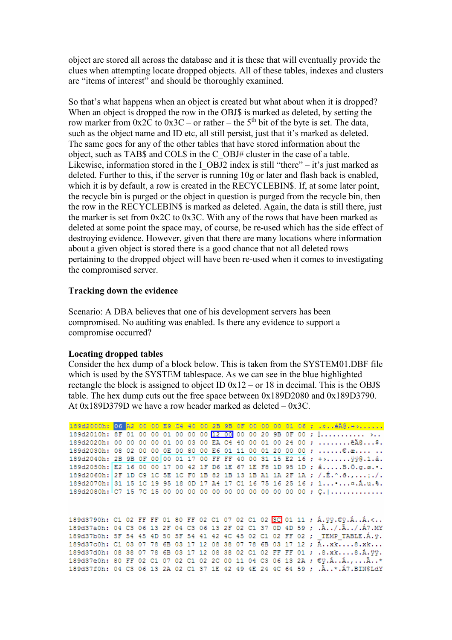object are stored all across the database and it is these that will eventually provide the clues when attempting locate dropped objects. All of these tables, indexes and clusters are "items of interest" and should be thoroughly examined.

So that's what happens when an object is created but what about when it is dropped? When an object is dropped the row in the OBJ\$ is marked as deleted, by setting the row marker from  $0x2C$  to  $0x3C$  – or rather – the 5<sup>th</sup> bit of the byte is set. The data, such as the object name and ID etc, all still persist, just that it's marked as deleted. The same goes for any of the other tables that have stored information about the object, such as TAB\$ and COL\$ in the C\_OBJ# cluster in the case of a table. Likewise, information stored in the I\_OBJ2 index is still "there" – it's just marked as deleted. Further to this, if the server is running 10g or later and flash back is enabled, which it is by default, a row is created in the RECYCLEBIN\$. If, at some later point, the recycle bin is purged or the object in question is purged from the recycle bin, then the row in the RECYCLEBIN\$ is marked as deleted. Again, the data is still there, just the marker is set from 0x2C to 0x3C. With any of the rows that have been marked as deleted at some point the space may, of course, be re-used which has the side effect of destroying evidence. However, given that there are many locations where information about a given object is stored there is a good chance that not all deleted rows pertaining to the dropped object will have been re-used when it comes to investigating the compromised server.

## Tracking down the evidence

Scenario: A DBA believes that one of his development servers has been compromised. No auditing was enabled. Is there any evidence to support a compromise occurred?

#### Locating dropped tables

Consider the hex dump of a block below. This is taken from the SYSTEM01.DBF file which is used by the SYSTEM tablespace. As we can see in the blue highlighted rectangle the block is assigned to object ID  $0x12 - or 18$  in decimal. This is the OBJ\$ table. The hex dump cuts out the free space between 0x189D2080 and 0x189D3790. At 0x189D379D we have a row header marked as deleted – 0x3C.

|  |  |  |  |  |  |  |  |  | 189d2000h: 06 A2 00 00 E9 C4 40 00 2B 9B 0F 00 00 00 01 06 ;  4A0.+>                 |
|--|--|--|--|--|--|--|--|--|--------------------------------------------------------------------------------------|
|  |  |  |  |  |  |  |  |  | 189d2010h: 8F 01 00 00 01 00 00 00 00 12 00 00 00 00 20 9B 0F 00 ; [ >               |
|  |  |  |  |  |  |  |  |  | 189d2020h: 00 00 00 00 01 00 03 00 EA C4 40 00 01 00 24 00 ;  êÄ@\$.                 |
|  |  |  |  |  |  |  |  |  | 189d2030h: 08 02 00 00 0E 00 80 00 E6 01 11 00 01 20 00 00 ; €.æ                     |
|  |  |  |  |  |  |  |  |  | 189d2040h: 2B 9B 0F 00 00 01 17 00 FF FF 40 00 31 15 E2 16 ; +> 990.1.â.             |
|  |  |  |  |  |  |  |  |  | 189d2050h: E2 16 00 00 17 00 42 1F D6 1E 67 1E F8 1D 95 1D; âB.O.g.s                 |
|  |  |  |  |  |  |  |  |  | 189d2060h: 2F 1D C9 1C 5E 1C F0 1B 82 1B 13 1B A1 1A 2F 1A ; /.É.^.ð.,/.             |
|  |  |  |  |  |  |  |  |  | 189d2070h: 31 15 1C 19 95 18 0D 17 A4 17 C1 16 75 16 25 16 ; 1 x.A.u. %.             |
|  |  |  |  |  |  |  |  |  | 189d2080h: C7 15 7C 15 00 00 00 00 00 00 00 00 00 00 00 00 ; C.                      |
|  |  |  |  |  |  |  |  |  |                                                                                      |
|  |  |  |  |  |  |  |  |  | 189d3790h: C1 02 FF FF 01 80 FF 02 C1 07 02 C1 02 3C 01 11 ; Á.ÿÿ.€ÿ.ÁÁ.<            |
|  |  |  |  |  |  |  |  |  | 189d37a0h: 04 C3 06 13 2F 04 C3 06 13 2F 02 C1 37 0D 4D 59 ; . A / . A. . / . A7. MY |
|  |  |  |  |  |  |  |  |  | 189d37b0h: 5F 54 45 4D 50 5F 54 41 42 4C 45 02 C1 02 FF 02 ; TEMP TABLE.A. y.        |
|  |  |  |  |  |  |  |  |  | 189d37c0h: C1 03 07 78 6B 03 17 12 08 38 07 78 6B 03 17 12 ; $\overline{A}$ xk8.xk   |
|  |  |  |  |  |  |  |  |  | 189d37d0h: 08 38 07 78 6B 03 17 12 08 38 02 C1 02 FF FF 01 ; .8.xk8.A.yy.            |
|  |  |  |  |  |  |  |  |  | 189d37e0h: 80 FF 02 C1 07 02 C1 02 2C 00 11 04 C3 06 13 2A ; €ÿ.ÁÁ.,Ã*               |
|  |  |  |  |  |  |  |  |  | 189d37f0h: 04 C3 06 13 2A 02 C1 37 1E 42 49 4E 24 4C 64 59 ; . A. . *. A7. BINSLdY   |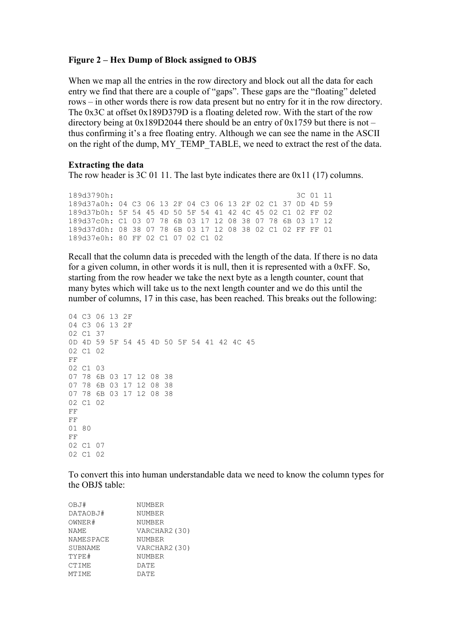#### Figure 2 – Hex Dump of Block assigned to OBJ\$

When we map all the entries in the row directory and block out all the data for each entry we find that there are a couple of "gaps". These gaps are the "floating" deleted rows – in other words there is row data present but no entry for it in the row directory. The 0x3C at offset 0x189D379D is a floating deleted row. With the start of the row directory being at  $0x189D2044$  there should be an entry of  $0x1759$  but there is not – thus confirming it's a free floating entry. Although we can see the name in the ASCII on the right of the dump, MY\_TEMP\_TABLE, we need to extract the rest of the data.

#### Extracting the data

The row header is 3C 01 11. The last byte indicates there are 0x11 (17) columns.

189d3790h: 3C 01 11 189d37a0h: 04 C3 06 13 2F 04 C3 06 13 2F 02 C1 37 0D 4D 59 189d37b0h: 5F 54 45 4D 50 5F 54 41 42 4C 45 02 C1 02 FF 02 189d37c0h: C1 03 07 78 6B 03 17 12 08 38 07 78 6B 03 17 12 189d37d0h: 08 38 07 78 6B 03 17 12 08 38 02 C1 02 FF FF 01 189d37e0h: 80 FF 02 C1 07 02 C1 02

Recall that the column data is preceded with the length of the data. If there is no data for a given column, in other words it is null, then it is represented with a 0xFF. So, starting from the row header we take the next byte as a length counter, count that many bytes which will take us to the next length counter and we do this until the number of columns, 17 in this case, has been reached. This breaks out the following:

```
04 C3 06 13 2F 
04 C3 06 13 2F 
02 C1 37 
0D 4D 59 5F 54 45 4D 50 5F 54 41 42 4C 45 
02 C1 02 
FF 
02 C1 03 
07 78 6B 03 17 12 08 38 
07 78 6B 03 17 12 08 38 
07 78 6B 03 17 12 08 38 
02 C1 02 
FF 
FF 
01 80 
FF 
02 C1 07 
02 C1 02
```
To convert this into human understandable data we need to know the column types for the OBJ\$ table:

| NUMBER        |
|---------------|
| NUMBER        |
| <b>NUMBER</b> |
| VARCHAR2 (30) |
| NUMBER        |
| VARCHAR2 (30) |
| NUMBER        |
| DATE          |
| DATE          |
|               |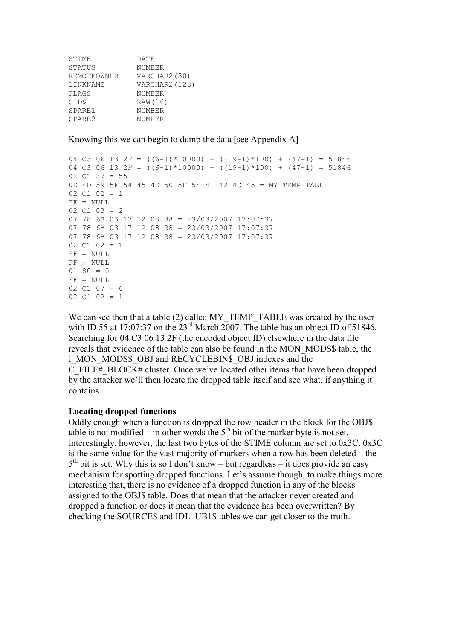| STIME              | DATE           |
|--------------------|----------------|
| STATUS             | NUMBER         |
| REMOTEOWNER        | VARCHAR2 (30)  |
| LINKNAME           | VARCHAR2 (128) |
| FLAGS              | NUMBER         |
| OID\$              | RAW (16)       |
| SPARE1             | NUMBER         |
| SPARE <sub>2</sub> | NUMBER         |

Knowing this we can begin to dump the data [see Appendix A]

```
04 C3 06 13 2F = ((6-1)*10000) + ((19-1)*100) + (47-1) = 5184604 C3 06 13 2F = ((6-1)*10000) + ((19-1)*100) + (47-1) = 5184602 \text{ C1 } 37 = 550D 4D 59 5F 54 45 4D 50 5F 54 41 42 4C 45 = MY_TEMP_TABLE 
02 \text{ C1} 02 = 1FF = NULL02 C1 03 = 207 78 6B 03 17 12 08 38 = 23/03/2007 17:07:37 
07 78 6B 03 17 12 08 38 = 23/03/2007 17:07:37 
07 78 6B 03 17 12 08 38 = 23/03/2007 17:07:37 
02 C1 02 = 1 
FF = NULLFF = NULL01 80 = 0FF = NULL02 \quad C1 \quad 07 = 602 \tC1 \t02 = 1
```
We can see then that a table (2) called MY\_TEMP\_TABLE was created by the user with ID 55 at 17:07:37 on the 23<sup>rd</sup> March 2007. The table has an object ID of 51846. Searching for 04 C3 06 13 2F (the encoded object ID) elsewhere in the data file reveals that evidence of the table can also be found in the MON\_MODS\$ table, the I\_MON\_MODS\$\_OBJ and RECYCLEBIN\$\_OBJ indexes and the C\_FILE#\_BLOCK# cluster. Once we've located other items that have been dropped by the attacker we'll then locate the dropped table itself and see what, if anything it contains.

## Locating dropped functions

Oddly enough when a function is dropped the row header in the block for the OBJ\$ table is not modified – in other words the  $5<sup>th</sup>$  bit of the marker byte is not set. Interestingly, however, the last two bytes of the STIME column are set to 0x3C. 0x3C is the same value for the vast majority of markers when a row has been deleted – the  $5<sup>th</sup>$  bit is set. Why this is so I don't know – but regardless – it does provide an easy mechanism for spotting dropped functions. Let's assume though, to make things more interesting that, there is no evidence of a dropped function in any of the blocks assigned to the OBJ\$ table. Does that mean that the attacker never created and dropped a function or does it mean that the evidence has been overwritten? By checking the SOURCE\$ and IDL\_UB1\$ tables we can get closer to the truth.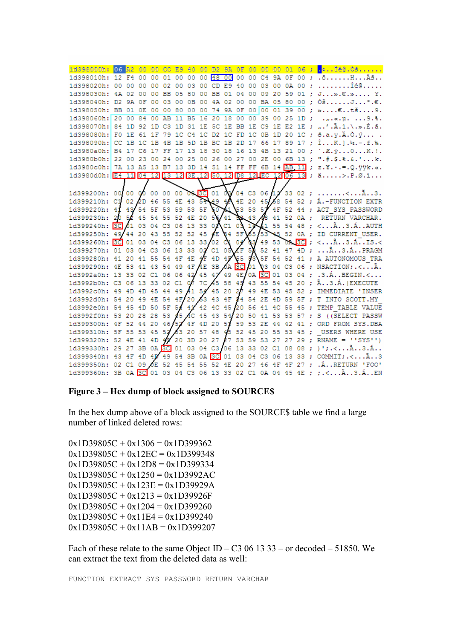| 1d398000h:                                        | $06$ $A2$                                         | $-00$ | $-00$          |     |       |       |    |          |    |    |  |                                   |  | CC E9 40 00 D2 9A 0F 00 00 00 01 06 ; $\frac{1}{2}$ cIég.O3                                |
|---------------------------------------------------|---------------------------------------------------|-------|----------------|-----|-------|-------|----|----------|----|----|--|-----------------------------------|--|--------------------------------------------------------------------------------------------|
|                                                   |                                                   |       |                |     |       |       |    |          |    |    |  |                                   |  | 1d398010h: 12 F4 00 00 01 00 00 00 00 00 00 00 04 9A 0F 00 ; . ôH A                        |
|                                                   |                                                   |       |                |     |       |       |    |          |    |    |  |                                   |  | 1d398020h: 00 00 00 00 02 00 03 00 CD E9 40 00 03 00 0A 00 ;  Íé @                         |
|                                                   |                                                   |       |                |     |       |       |    |          |    |    |  |                                   |  | 1d398030h: 4A 02 00 00 BB 05 80 00 BB 01 04 00 09 20 59 01 : J».€.» Y.                     |
| 1d398040h: D2 9A 0F 00                            |                                                   |       |                | -03 |       | 00 OB |    | 00 4A 02 |    |    |  |                                   |  | 00 00 BA 05 80 00 : $0\ddot{\text{s}}$ J°.€.                                               |
| 1d398050h: BB 01 0E 00 00 80 00 00 74 9A 0F       |                                                   |       |                |     |       |       |    |          |    |    |  |                                   |  | 00 00 01 39 00 ; » $\epsilon$ t39.                                                         |
| 1d398060h: 20 00                                  |                                                   | 84    | 00             | AB  | 11 B5 |       | 16 | 20       | 18 | 00 |  |                                   |  | $00$ 39 00 25 1D; «. µ.  9.%.                                                              |
|                                                   |                                                   |       |                |     |       |       |    |          |    |    |  |                                   |  | 1d398070h: 84 1D 92 1D C3 1D 31 1E 5C 1E BB 1E C9 1E E2 1E ; ".'.A.1.\.».É.â.              |
| 1d398080h: F0 1E 61 1F                            |                                                   |       |                | -79 |       |       |    |          |    |    |  |                                   |  | 1C C4 1C D2 1C FD 1C 0B 1D 20 1C ; ð.a.y.Ä.Ò.ý                                             |
| 1d398090h: CC 1B 1C 1B 4B                         |                                                   |       |                |     |       |       |    |          |    |    |  |                                   |  | 1B 5D 1B BC 1B 2D 17 66 17 89 17 ; IK.].4.-.f.%.                                           |
| 1d3980a0h:                                        |                                                   |       |                |     |       |       |    |          |    |    |  |                                   |  | B4 17 C6 17 FF 17 13 18 30 18 16 13 4B 13 21 00 ; '.E. v0K.!.                              |
| 1d3980b0h:                                        | 22 00                                             | 23 00 |                | 24  |       |       |    |          |    |    |  |                                   |  | 00 25 00 26 00 27 00 2E 00 6B 13 ; ".#.\$.%.&.'k.                                          |
| 1d3980c0h:                                        |                                                   |       |                |     |       |       |    |          |    |    |  |                                   |  | 7A 13 A5 13 B7 13 3D 14 51 14 FF FF 6B 14 AB 11 ; z. ¥. · .= . Q. ÿÿk. «.                  |
|                                                   |                                                   |       |                |     |       |       |    |          |    |    |  |                                   |  | 1d3980d0h: E4 11 04 12 13 12 3E 12 50 12 D8 12 EC 12 06 13 ; ä>.P.0.i                      |
|                                                   |                                                   |       |                |     |       |       |    |          |    |    |  |                                   |  |                                                                                            |
|                                                   |                                                   |       |                |     |       |       |    |          |    |    |  |                                   |  |                                                                                            |
|                                                   |                                                   |       |                |     |       |       |    |          |    |    |  |                                   |  | 1d399210h: C1 02 2D 46 55 4E 43 54 49 4A 4E 20 45 68 54 52 ; A.-FUNCTION EXTR              |
| 1d399220h:                                        | 41 43 54 5F 53 59 53 5F                           |       |                |     |       |       |    | 50       |    |    |  |                                   |  | 53 53 57 4F 52 44 ; ACT_SYS_PASSWORD                                                       |
| 1d399230h:                                        | 20 52 45 54 55 52 4E 20 56 41 32 43 48 41 52 0A ; |       |                |     |       |       |    |          |    |    |  |                                   |  | RETURN VARCHAR.                                                                            |
| 1d399240h: 3C 01 03 04 C3 06                      |                                                   |       |                |     |       |       |    |          |    |    |  |                                   |  | 13 33 0 \ C1 0 \ 1 \ \ i 55 54 48 ; <a3.aauth< td=""></a3.aauth<>                          |
| 1d399250h: 49/44 20 43 55 52 52 45 4E 54 5F 65/53 |                                                   |       |                |     |       |       |    |          |    |    |  |                                   |  | 45 52 OA ; ID CURRENT USER.                                                                |
|                                                   |                                                   |       |                |     |       |       |    |          |    |    |  |                                   |  | 1d399260h: 3C 01 03 04 C3 06 13 33/02 C1 04 03 49 53 O2 3C ; < A3.A IS.<                   |
| 1d399270h: 01 03 04                               |                                                   |       | C <sub>3</sub> |     |       |       |    |          |    |    |  |                                   |  | 06 13 33 02 C1 05 1F 50 52 41 47 4D ;  A. . 3. A. . PRAGM                                  |
| 1d399280h: 41 20 41 55                            |                                                   |       |                |     |       |       |    |          |    |    |  |                                   |  | 54 4F 4E 4F 4D 4F 65 73 5F 54 52 41 ; A AUTONOMOUS TRA                                     |
| 1d399290h: 4E 53 41 43 54 49 4F AE 3B AA 3C 01    |                                                   |       |                |     |       |       |    |          |    |    |  |                                   |  | 03 04 C3 06 ; NSACTION; .< A.                                                              |
| 1d3992a0h: 13 33 02 C1 06 06                      |                                                   |       |                |     |       |       |    |          |    |    |  |                                   |  | 42 45 47 49 4E/0A 3C 01 03 04 ; .3.ABEGIN.<                                                |
| 1d3992b0h: C3 06 13 33 02 C1 07 7C A5 58 49 43    |                                                   |       |                |     |       |       |    |          |    |    |  |                                   |  | 55 54 45 20 ; Ä3.Á.   EXECUTE                                                              |
| 1d3992c0h: 49 4D 4D 45 44 49 41 54 45 20 27       |                                                   |       |                |     |       |       |    |          |    |    |  |                                   |  | 49 4E 53 45 52 ; IMMEDIATE 'INSER                                                          |
| 1d3992d0h: 54 20 49 4E 54 4F/20 63 43 4F 54       |                                                   |       |                |     |       |       |    |          |    |    |  |                                   |  | 54 2E 4D 59 5F : T INTO SCOTT.MY                                                           |
| 1d3992e0h: 54 45 4D 50 5F                         |                                                   |       |                |     |       |       |    |          |    |    |  |                                   |  | 54 42 42 4C 45 20 56 41 4C 55 45 ; TEMP TABLE VALUE                                        |
| 1d3992f0h: 53 20 28 28                            |                                                   |       |                | 53  |       |       |    |          |    |    |  |                                   |  | 45 AC 45 43 54 20 50 41 53 53 57 ; S ((SELECT PASSW                                        |
| 1d399300h: 4F 52 44 20                            |                                                   |       |                |     |       |       |    |          |    |    |  |                                   |  | 46/52 4F 4D 20 53 59 53 2E 44 42 41 ; ORD FROM SYS. DBA                                    |
| 1d399310h: 5F 55 53 45 52                         |                                                   |       |                |     |       |       |    |          |    |    |  | 63 20 57 48 45 52 45 20 55 53 45; |  | USERS WHERE USE                                                                            |
|                                                   |                                                   |       |                |     |       |       |    |          |    |    |  |                                   |  | 1d399320h: 52 4E 41 4D 47 20 3D 20 27 27 53 59 53 27 27 29 ; RNAME = ''SYS'')              |
| 1d399330h: 29 27 3B 0A 3C 01                      |                                                   |       |                |     |       |       |    |          |    |    |  |                                   |  |                                                                                            |
| 1d399340h: 43 4F 4D 4D 49                         |                                                   |       |                |     |       |       |    |          |    |    |  |                                   |  | 54 3B 0A 3C 01 03 04 C3 06 13 33 ; COMMIT:. <a3< td=""></a3<>                              |
| 1d399350h: 02 C1 09 OE 52 45                      |                                                   |       |                |     |       |       |    |          |    |    |  |                                   |  | 54 55 52 4E 20 27 46 4F 4F 27 ; . A. . RETURN 'FOO'                                        |
|                                                   |                                                   |       |                |     |       |       |    |          |    |    |  |                                   |  | 1d399360h: 3B 0A 3C 01 03 04 C3 06 13 33 02 C1 0A 04 45 4E ; ; . <a3.aen< td=""></a3.aen<> |

### Figure 3 – Hex dump of block assigned to SOURCE\$

In the hex dump above of a block assigned to the SOURCE\$ table we find a large number of linked deleted rows:

 $0x1D39805C + 0x1306 = 0x1D399362$  $0x1D39805C + 0x12EC = 0x1D399348$  $0x1D39805C + 0x12D8 = 0x1D399334$  $0x1D39805C + 0x1250 = 0x1D3992AC$  $0x1D39805C + 0x123E = 0x1D39929A$  $0x1D39805C + 0x1213 = 0x1D39926F$  $0x1D39805C + 0x1204 = 0x1D399260$  $0x1D39805C + 0x11E4 = 0x1D399240$  $0x1D39805C + 0x11AB = 0x1D399207$ 

Each of these relate to the same Object ID – C3 06 13 33 – or decoded – 51850. We can extract the text from the deleted data as well:

FUNCTION EXTRACT\_SYS\_PASSWORD RETURN VARCHAR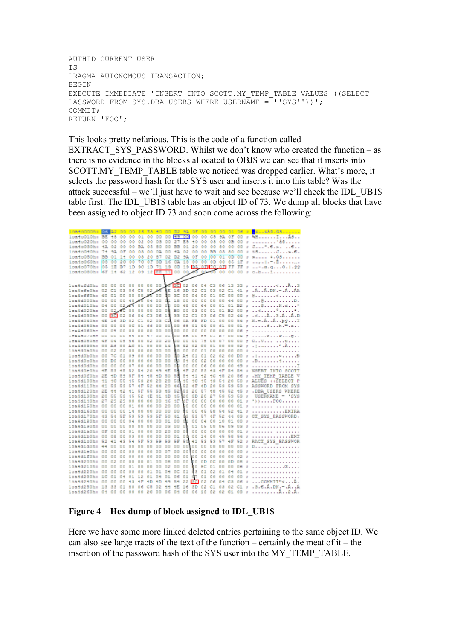```
AUTHID CURRENT_USER 
IS 
PRAGMA AUTONOMOUS TRANSACTION;
BEGIN 
EXECUTE IMMEDIATE 'INSERT INTO SCOTT.MY_TEMP_TABLE VALUES ((SELECT 
PASSWORD FROM SYS.DBA USERS WHERE USERNAME = ''SYS''))';
COMMIT; 
RETURN 'FOO';
```
This looks pretty nefarious. This is the code of a function called EXTRACT SYS PASSWORD. Whilst we don't know who created the function – as there is no evidence in the blocks allocated to OBJ\$ we can see that it inserts into SCOTT.MY\_TEMP\_TABLE table we noticed was dropped earlier. What's more, it selects the password hash for the SYS user and inserts it into this table? Was the attack successful – we'll just have to wait and see because we'll check the IDL\_UB1\$ table first. The IDL\_UB1\$ table has an object ID of 73. We dump all blocks that have been assigned to object ID 73 and soon come across the following:

| 10a40DDDh:                                                                                     |     |                |       | ٥<br>٥      | 26                   | EB.     | 40          | OD. |       |                |          |          |                | D2 8A OF 00 00 00 01 06                      |       |    | - 11           | <b>BRANSAS.OS. </b>                                                                 |
|------------------------------------------------------------------------------------------------|-----|----------------|-------|-------------|----------------------|---------|-------------|-----|-------|----------------|----------|----------|----------------|----------------------------------------------|-------|----|----------------|-------------------------------------------------------------------------------------|
| 1ca4c010h: BE 48 00                                                                            |     |                |       | $^{oo}$     | $^{01}$              | $^{00}$ |             |     |       |                |          |          |                | 00 00 49 00 00 00 CS 9A 0F 00                |       |    |                | $1 - 48 - \cdots - 1 - 48 -$                                                        |
| ica4c020h: 00 00 00 00 02 00 03 00 27                                                          |     |                |       |             |                      |         |             |     |       |                |          |          |                |                                              |       |    |                | E5 40 00 03 00 08 00 , '&8                                                          |
| 10a40030h: 4A                                                                                  |     |                |       |             |                      |         |             |     |       |                |          |          |                |                                              |       |    |                | 02 00 00 BA 05 60 00 BB 01 20 00 00 60 00 00 , J *. 6. *. 6. .                      |
| 10440040hr                                                                                     | 74  | 93,            | ΟF    | $^{00}$     |                      |         |             |     |       |                |          |          |                | 08 00 0A 00 4A 02 00 00 BB 05 80 00          |       |    |                | 1.780                                                                               |
| 10a40050hr                                                                                     | BB  |                |       |             |                      |         |             |     |       |                |          |          |                | 01 14 00 08 20 87 02 D2 9A 0F 00 00 01 0D 00 |       |    |                |                                                                                     |
| 1ca4c060h: 08                                                                                  |     |                | 00 20 | $-00$       | 70                   | OF      | 3D          |     | 16 CA | 18             |          |          |                | 00 00 0D 00 85 1F                            |       |    | $\mathbb{R}$   |                                                                                     |
|                                                                                                |     |                |       |             |                      |         |             |     |       |                |          |          |                |                                              |       |    |                | 10840070h; 08 1E B7 1D 9C 1D 71 19 0D 19 <mark>D5.0F TC.0F</mark> FF FF ; e.q0.;.?? |
|                                                                                                |     |                |       |             |                      |         |             |     |       |                |          |          |                |                                              |       |    |                | 10840080h: 6F 14 62 12 09 12 EE 11 00 00 00 00 00 00 00 00 00 , b1                  |
|                                                                                                |     |                |       |             |                      |         |             |     |       |                |          |          |                |                                              |       |    |                |                                                                                     |
|                                                                                                |     |                |       |             |                      |         |             |     |       |                |          |          |                |                                              |       |    |                |                                                                                     |
| lem4efdOh: 00 00 00 00 00 00 00<br>leadefach: 02 C1 03 06 C5 02 A 15 16 3D 02 C1 03 02 C1 41 : |     |                |       |             |                      |         |             |     |       |                |          |          |                |                                              |       |    |                | $AA.$ DK $ AAA$                                                                     |
|                                                                                                |     |                |       |             |                      |         |             |     |       |                |          |          |                |                                              |       |    |                |                                                                                     |
|                                                                                                |     |                |       |             |                      |         |             |     |       |                |          |          |                |                                              |       |    |                | 1.8                                                                                 |
|                                                                                                |     |                |       |             |                      |         |             |     |       |                |          |          |                |                                              |       |    |                |                                                                                     |
|                                                                                                |     |                |       |             |                      |         |             |     |       |                |          |          |                |                                              |       |    |                |                                                                                     |
| lea4d020h: 00                                                                                  |     |                |       |             |                      |         |             |     |       |                |          |          |                |                                              |       |    |                | 02.05 00 00 00 00 00 00 00 00 00 00 01 02 00 ;                                      |
| 1ca4d030h: 00 3C 02 06                                                                         |     |                |       |             | 04 C3                |         | 06          | -11 |       |                |          |          |                |                                              |       |    |                | 33 02 C1 03 06 C5 02 44 ; .<Å3.ÅÅ.D                                                 |
| lca4d040h: 4E 16 3D 02 C1 02                                                                   |     |                |       |             |                      |         | O 3         |     |       |                |          |          |                |                                              |       |    |                | ca os oa se sp oi oo oo se ; x, -. A, . A, . pý, T                                  |
| 1ca4d050h: 00 00 00 0C 01 66                                                                   |     |                |       |             |                      |         | o o         |     |       |                |          |          |                |                                              |       |    |                | 00,00 68 01 99 00 61 00 01 : fh. -                                                  |
|                                                                                                |     |                |       |             |                      |         |             |     |       |                |          |          |                |                                              |       |    |                |                                                                                     |
| 1ca4d070h: 00 00 00 85 00 57                                                                   |     |                |       |             |                      |         | 00          |     |       |                |          |          |                |                                              |       |    |                | 01 00 65 00 65 01 67 00 04 ; Wkc                                                    |
| lea4d050h: 4F 04 05 56 00 02 00 20                                                             |     |                |       |             |                      |         |             |     |       |                |          |          |                |                                              |       |    |                | 00 00 00 75 00 07 00 00 ; 0V u                                                      |
| leaddoch: co as co am ci                                                                       |     |                |       |             |                      | O O     | 00 14       |     |       |                |          |          |                |                                              |       |    |                | 03 92 02 00 01 00 00 02 ; .:.-                                                      |
| loatd0a0h: 00                                                                                  |     | 02             | 00    | 00 00       |                      | 00      | 00 00       |     |       |                |          |          |                | @ 00 00 01 00 00 00 00                       |       |    | $\mathbf{J}$   | .                                                                                   |
| 10a4d0b0h; 00 7C 01 09 00 00 00 00                                                             |     |                |       |             |                      |         |             |     |       |                |          |          |                |                                              |       |    |                | do as 01 01 02 02 00 DO J .l¤B                                                      |
| 10a4d0o0h: 00                                                                                  |     | D <sub>0</sub> | 00    | 00          | 00                   | 00      | 00          | 00  |       | 00 34 00       |          |          | 02 00 00       |                                              | 00 00 |    | $\mathbf{J}$   | . 3.                                                                                |
| 1ca4d0d0h; 00 00 00 07 00 00 00 00                                                             |     |                |       |             |                      |         |             |     |       |                |          |          |                | 00 00 00 06 00 00 00 49 J                    |       |    |                | . I                                                                                 |
| loatd0e0h: tE 53                                                                               |     |                |       |             | 45 52 54 20          |         | 49 4E       |     | 54    |                |          |          |                | 4F 20 53 43 4F 54 54                         |       |    |                | J NSERI INTO SCOTI                                                                  |
| loatd0f0h: 2E                                                                                  |     | 4D 59          |       | 6F          | 64                   | 46      | 4D          | 50  |       | <b>68 64</b>   | $+1$     |          | 42 40 46       |                                              | 20    | 66 | $\mathbf{J}$   | .MY TEMP TABLE V                                                                    |
| 10a4d100h: 41                                                                                  |     | ÷с             | 66    | 46          | 53                   | 20      | 28          | 28  |       | 53 45          | -90      |          | 46 43 64       |                                              | 20 50 |    |                | J ALUES ((SELECT P                                                                  |
| 1084d110h: 41                                                                                  |     | 53             | 63    | 67          | 48                   | 62      | 44          | 20  |       | 46, 52         |          |          | 4F 4D 20 53    |                                              | 69    | 63 | J              | ASSWORD FROM SYS                                                                    |
| 1084d120h: 2E                                                                                  |     | 44             | -52   | 41 GF       |                      | 66      | 63          | 46  | 52    | 53             |          |          |                |                                              |       |    |                | 20 57 48 45 52 45 J .DBA USERS WHERE                                                |
| 1084d130h: 20                                                                                  |     | 66             | 63    | 46 52       |                      | ÷Ε      | 41          | ÷D  | 46    |                |          |          |                | 20 3D 20 27 53 59 53 J                       |       |    |                | $UBERNAME = 'SYS$                                                                   |
| 1084d140h: 27                                                                                  |     |                |       | 29 29 00 00 |                      |         | 00 00 46 4F |     |       |                |          |          |                |                                              |       |    |                | AF 00 00 00 00 00 01 J ')),FCC                                                      |
| 10a4d150h: 00                                                                                  |     | 00             | 00    | 01          | 00                   | 00      | 00          | 20  | 00    |                |          |          |                | 00 00 00 00 00 00 01 J                       |       |    |                | .                                                                                   |
| 1084d160h:                                                                                     | 00  | 00             | 00    | 1.4         | 00                   | 00      | 00          | 00  | 00    | ůО             | 00       | 46       | 58 54          |                                              | 52 41 |    | $\mathbf{J}$   | . EXTRA                                                                             |
| 1084d170h: 43                                                                                  |     |                |       |             | 64 6F 63 69 63 6F 60 |         |             |     | 41    | 63             |          |          |                | 53 57 4F 52 44 03                            |       |    |                | J CI SYS PASSWORD.                                                                  |
| 1084d180h: 00                                                                                  |     | 00             | 00 OS |             | 00                   | 00      | 00          | 01  | 00    | OL.            | 00 04    |          |                | 00 10 01 00                                  |       |    | J              | .                                                                                   |
| 1084d190h: 00                                                                                  |     | 00             | 00 00 |             | 00 00 00 03          |         |             |     | 00    | 0Ŧ.            |          |          |                | 01 05 00 06 09 03                            |       |    | $\mathbf{J}$   | .                                                                                   |
| 1084d180h: 0F 00                                                                               |     |                |       | 00 01 00    |                      |         | 00 00 20    |     | 00    | 0 <sub>0</sub> |          |          |                | 00 00 00 00 00 01                            |       |    | J              | .                                                                                   |
| 1084d1b0h: 00                                                                                  |     |                |       |             | 08 00 03 00 00 00    |         |             | 00  | 01    |                |          |          |                | 00 00 14 00 45 58 54                         |       |    | $\mathbf{J}$   | . EXT                                                                               |
| 1ca4d1cOh: 52                                                                                  |     | 41             | -53   |             | 54 5F 53 59 53       |         |             |     | 6F    |                |          |          | 50 41 53 53 57 |                                              | 4F 52 |    | J              | RACT SYS PASSWOR                                                                    |
| 10a4d1d0h;                                                                                     | -54 | 00             | 00    | 00          | 00                   | 00      | 00          | 00  | 00    |                |          |          |                | 00000 00 00 00 00 00                         |       |    | J              | D.                                                                                  |
| loatdieOh: 00                                                                                  |     |                |       |             | 00 00 00 00 00 00 07 |         |             |     | 00    |                |          |          |                | 00000 00 00 00 00 00                         |       |    | $\mathbf{J}$   | .                                                                                   |
| loatdif0h: 00                                                                                  |     | 00             | 00    | 00 00       |                      | 00      | 00          | 00  | 00    |                |          |          |                | 00 00 00 00 00 00 02                         |       |    | J              | .                                                                                   |
| 10a4d200h: 00                                                                                  |     |                |       |             | 02 00 00 00 01 00 08 |         |             |     | 00    | 00             |          |          |                |                                              |       |    |                | 00 0D 0C 00 0D 08 J                                                                 |
| 10a4d210h: 00                                                                                  |     | 00             |       | 00 01 00    |                      | 00      | 00 02       |     | 00    | 00             |          |          |                | 00 BC 01 00 00 06                            |       |    |                |                                                                                     |
| 10a4d220hr                                                                                     | 00  | 00             | 00    | 00 00       |                      | 01      | 01          | 04  | 0C    | 01             |          | 83 01    | 02             |                                              |       |    |                | 01 05 01 J                                                                          |
| 10a4d230h:                                                                                     | 1C  | 01             | 04    |             | $01$ 12 $01$         |         | 04 01       |     | 06 01 |                |          | 07 01 00 |                | 00 00 00                                     |       |    |                | .                                                                                   |
| 10a4d240h:                                                                                     | 00  | 00             | 00    | 43          | 4F 4D 4D 49          |         |             |     | 54    |                | 22 30 02 |          |                | 06 04 C3 06 J                                |       |    |                | $\ldots$ COMMIT"< $\ldots$ A.                                                       |
| 10a4d250h: 13                                                                                  |     |                |       |             | 33 01 80 06 CS 02 44 |         |             |     |       |                |          |          |                | 4E 16 3D 02 C1 03 02 C1                      |       |    | $\overline{J}$ | $, 3, 6, \lambda, \text{DN}$ , -, $\lambda, \lambda$                                |
| 1084d260h; 04 03 00 00 00 2C 00 06 04 C3 06 13 32 02 C1 03 ;                                   |     |                |       |             |                      |         |             |     |       |                |          |          |                |                                              |       |    |                | . A. 2 . A.                                                                         |

## Figure 4 – Hex dump of block assigned to IDL UB1\$

Here we have some more linked deleted entries pertaining to the same object ID. We can also see large tracts of the text of the function – certainly the meat of it – the insertion of the password hash of the SYS user into the MY\_TEMP\_TABLE.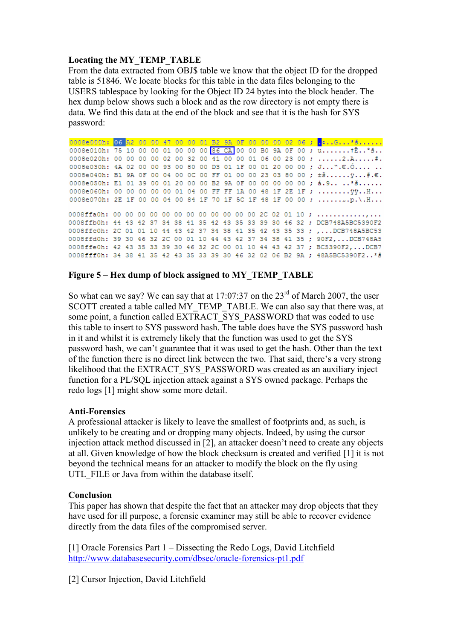# Locating the MY\_TEMP\_TABLE

From the data extracted from OBJ\$ table we know that the object ID for the dropped table is 51846. We locate blocks for this table in the data files belonging to the USERS tablespace by looking for the Object ID 24 bytes into the block header. The hex dump below shows such a block and as the row directory is not empty there is data. We find this data at the end of the block and see that it is the hash for SYS password:

0008e000h: <mark>06 A2 00 00 47 00 00 01 B2 9A 0F 00 00 00 02 06 ; .</mark>...G...\*<del>Š......</del><br>0008e010h: 75 10 00 00 01 00 00 00 <mark>86 CA</mark> 00 00 B0 9A 0F 00 ; u.......tÊ..°Š.. 0008e020h: 00 00 00 00 02 00 32 00 41 00 00 01 06 00 23 00 ; ......2.A.....#. 0008e030h: 4A 02 00 00 93 00 80 00 D3 01 1F 00 01 20 00 00 ; J...".€.Ó.... .. 0008e040h: B1 9A 0F 00 04 00 0C 00 FF 01 00 00 23 03 80 00 ; ±š...... ÿ...#.€. 0008e050h: E1 01 39 00 01 20 00 00 B2 9A 0F 00 00 00 00 00 ; á.9........ 0008e060h: 00 00 00 00 00 01 04 00 FF FF 1A 00 48 1F 2E 1F ; ........ 99. H... 0008e070h: 2E 1F 00 00 04 00 84 1F 70 1F 5C 1F 48 1F 00 00 ; .................... 0008ffa0h: 00 00 00 00 00 00 00 00 00 00 00 00 2C 02 01 10 ; .................. 0008ffb0h: 44 43 42 37 34 38 41 35 42 43 35 33 39 30 46 32 ; DCB748A5BC5390F2 0008ffc0h: 2C 01 01 10 44 43 42 37 34 38 41 35 42 43 35 33 ; ,... DCB748A5BC53 0008ffd0h: 39 30 46 32 2C 00 01 10 44 43 42 37 34 38 41 35 ; 90F2, ... DCB748A5 0008ffe0h: 42 43 35 33 39 30 46 32 2C 00 01 10 44 43 42 37 ; BC5390F2, ... DCB7 0008fff0h: 34 38 41 35 42 43 35 33 39 30 46 32 02 06 B2 9A ; 48A5BC5390F2..\* 3

# Figure 5 – Hex dump of block assigned to MY\_TEMP\_TABLE

So what can we say? We can say that at  $17:07:37$  on the  $23<sup>rd</sup>$  of March 2007, the user SCOTT created a table called MY\_TEMP\_TABLE. We can also say that there was, at some point, a function called EXTRACT\_SYS\_PASSWORD that was coded to use this table to insert to SYS password hash. The table does have the SYS password hash in it and whilst it is extremely likely that the function was used to get the SYS password hash, we can't guarantee that it was used to get the hash. Other than the text of the function there is no direct link between the two. That said, there's a very strong likelihood that the EXTRACT\_SYS\_PASSWORD was created as an auxiliary inject function for a PL/SQL injection attack against a SYS owned package. Perhaps the redo logs [1] might show some more detail.

# Anti-Forensics

A professional attacker is likely to leave the smallest of footprints and, as such, is unlikely to be creating and or dropping many objects. Indeed, by using the cursor injection attack method discussed in [2], an attacker doesn't need to create any objects at all. Given knowledge of how the block checksum is created and verified [1] it is not beyond the technical means for an attacker to modify the block on the fly using UTL FILE or Java from within the database itself.

# Conclusion

This paper has shown that despite the fact that an attacker may drop objects that they have used for ill purpose, a forensic examiner may still be able to recover evidence directly from the data files of the compromised server.

[1] Oracle Forensics Part 1 – Dissecting the Redo Logs, David Litchfield http://www.databasesecurity.com/dbsec/oracle-forensics-pt1.pdf

[2] Cursor Injection, David Litchfield